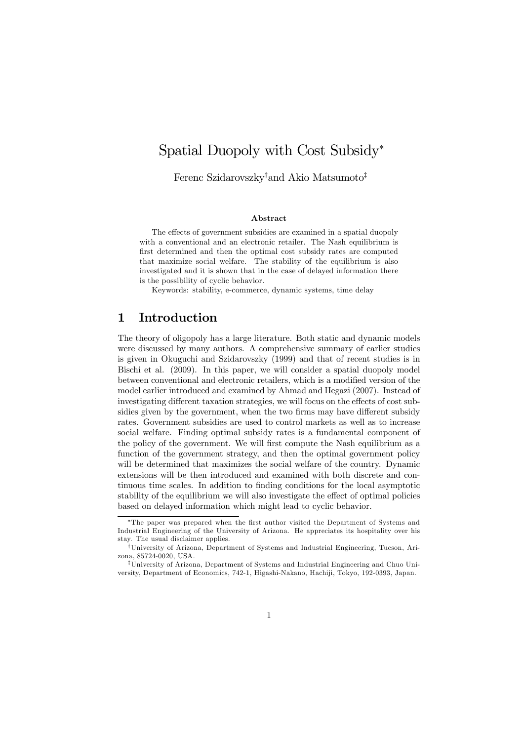# Spatial Duopoly with Cost Subsidy<sup>∗</sup>

Ferenc Szidarovszky† and Akio Matsumoto‡

#### Abstract

The effects of government subsidies are examined in a spatial duopoly with a conventional and an electronic retailer. The Nash equilibrium is first determined and then the optimal cost subsidy rates are computed that maximize social welfare. The stability of the equilibrium is also investigated and it is shown that in the case of delayed information there is the possibility of cyclic behavior.

Keywords: stability, e-commerce, dynamic systems, time delay

### 1 Introduction

The theory of oligopoly has a large literature. Both static and dynamic models were discussed by many authors. A comprehensive summary of earlier studies is given in Okuguchi and Szidarovszky (1999) and that of recent studies is in Bischi et al. (2009). In this paper, we will consider a spatial duopoly model between conventional and electronic retailers, which is a modified version of the model earlier introduced and examined by Ahmad and Hegazi (2007). Instead of investigating different taxation strategies, we will focus on the effects of cost subsidies given by the government, when the two firms may have different subsidy rates. Government subsidies are used to control markets as well as to increase social welfare. Finding optimal subsidy rates is a fundamental component of the policy of the government. We will first compute the Nash equilibrium as a function of the government strategy, and then the optimal government policy will be determined that maximizes the social welfare of the country. Dynamic extensions will be then introduced and examined with both discrete and continuous time scales. In addition to finding conditions for the local asymptotic stability of the equilibrium we will also investigate the effect of optimal policies based on delayed information which might lead to cyclic behavior.

<sup>∗</sup>The paper was prepared when the first author visited the Department of Systems and Industrial Engineering of the University of Arizona. He appreciates its hospitality over his stay. The usual disclaimer applies.

<sup>†</sup>University of Arizona, Department of Systems and Industrial Engineering, Tucson, Arizona, 85724-0020, USA.

<sup>‡</sup>University of Arizona, Department of Systems and Industrial Engineering and Chuo University, Department of Economics, 742-1, Higashi-Nakano, Hachiji, Tokyo, 192-0393, Japan.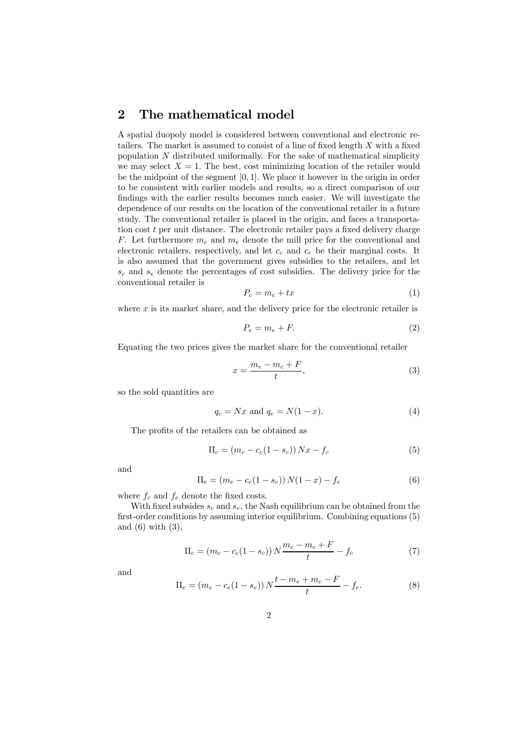### 2 The mathematical model

A spatial duopoly model is considered between conventional and electronic retailers. The market is assumed to consist of a line of fixed length X with a fixed population  $N$  distributed uniformally. For the sake of mathematical simplicity we may select  $X = 1$ . The best, cost minimizing location of the retailer would be the midpoint of the segment [0, 1]. We place it however in the origin in order to be consistent with earlier models and results, so a direct comparison of our findings with the earlier results becomes much easier. We will investigate the dependence of our results on the location of the conventional retailer in a future study. The conventional retailer is placed in the origin, and faces a transportation cost t per unit distance. The electronic retailer pays a fixed delivery charge F. Let furthermore  $m_c$  and  $m_e$  denote the mill price for the conventional and electronic retailers, respectively, and let  $c_c$  and  $c_e$  be their marginal costs. It is also assumed that the government gives subsidies to the retailers, and let  $s_c$  and  $s_e$  denote the percentages of cost subsidies. The delivery price for the conventional retailer is

$$
P_c = m_c + tx \tag{1}
$$

where  $x$  is its market share, and the delivery price for the electronic retailer is

$$
P_e = m_e + F. \t\t(2)
$$

Equating the two prices gives the market share for the conventional retailer

$$
x = \frac{m_e - m_c + F}{t},\tag{3}
$$

so the sold quantities are

$$
q_c = Nx \text{ and } q_e = N(1-x). \tag{4}
$$

The profits of the retailers can be obtained as

$$
\Pi_c = (m_c - c_c(1 - s_c)) Nx - f_c
$$
\n(5)

and

$$
\Pi_e = (m_e - c_e(1 - s_e)) N(1 - x) - f_e
$$
\n(6)

where  $f_c$  and  $f_e$  denote the fixed costs.

With fixed subsides  $s_c$  and  $s_e$ , the Nash equilibrium can be obtained from the first-order conditions by assuming interior equilibrium. Combining equations (5) and  $(6)$  with  $(3)$ ,

$$
\Pi_c = (m_c - c_c(1 - s_c)) N \frac{m_e - m_c + F}{t} - f_c \tag{7}
$$

$$
\Pi_e = (m_e - c_e (1 - s_e)) N \frac{t - m_e + m_c - F}{t} - f_e.
$$
\n(8)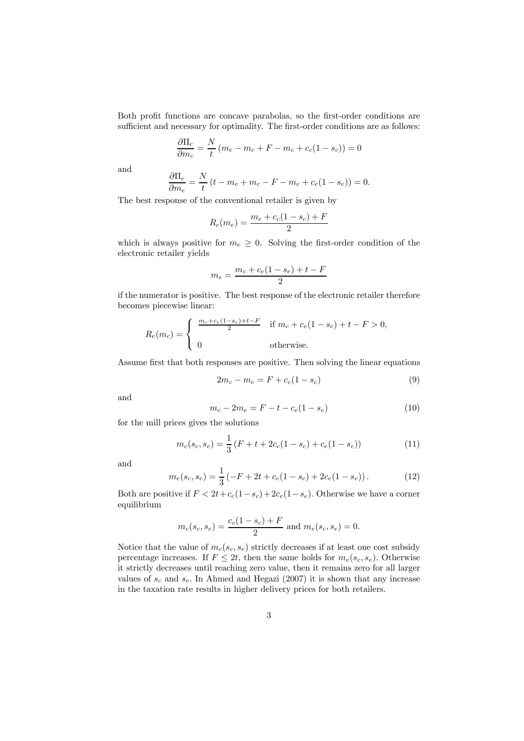Both profit functions are concave parabolas, so the first-order conditions are sufficient and necessary for optimality. The first-order conditions are as follows:

$$
\frac{\partial \Pi_c}{\partial m_c} = \frac{N}{t} (m_e - m_c + F - m_c + c_c (1 - s_c)) = 0
$$

and

$$
\frac{\partial \Pi_e}{\partial m_e} = \frac{N}{t} (t - m_e + m_c - F - m_e + c_e (1 - s_e)) = 0.
$$

The best response of the conventional retailer is given by

$$
R_c(m_e) = \frac{m_e + c_c(1 - s_c) + F}{2}
$$

which is always positive for  $m_e \geq 0$ . Solving the first-order condition of the electronic retailer yields

$$
m_e = \frac{m_c + c_e(1 - s_e) + t - F}{2}
$$

if the numerator is positive. The best response of the electronic retailer therefore becomes piecewise linear:

$$
R_e(m_c) = \begin{cases} \frac{m_c + c_e(1 - s_e) + t - F}{2} & \text{if } m_c + c_e(1 - s_e) + t - F > 0, \\ 0 & \text{otherwise.} \end{cases}
$$

Assume first that both responses are positive. Then solving the linear equations

$$
2m_c - m_e = F + c_c(1 - s_c)
$$
\n(9)

and

$$
m_c - 2m_e = F - t - c_e(1 - s_e)
$$
 (10)

for the mill prices gives the solutions

$$
m_c(s_c, s_e) = \frac{1}{3} \left( F + t + 2c_c(1 - s_c) + c_e(1 - s_e) \right)
$$
 (11)

and

$$
m_e(s_c, s_e) = \frac{1}{3} \left( -F + 2t + c_c(1 - s_c) + 2c_e(1 - s_e) \right). \tag{12}
$$

Both are positive if  $F < 2t + c_c(1-s_c) + 2c_e(1-s_e)$ . Otherwise we have a corner equilibrium

$$
m_c(s_c, s_e) = \frac{c_c(1 - s_c) + F}{2}
$$
 and  $m_e(s_c, s_e) = 0$ .

Notice that the value of  $m_c(s_c, s_e)$  strictly decreases if at least one cost subsidy percentage increases. If  $F \leq 2t$ , then the same holds for  $m_e(s_c, s_e)$ . Otherwise it strictly decreases until reaching zero value, then it remains zero for all larger values of  $s_c$  and  $s_e$ . In Ahmed and Hegazi (2007) it is shown that any increase in the taxation rate results in higher delivery prices for both retailers.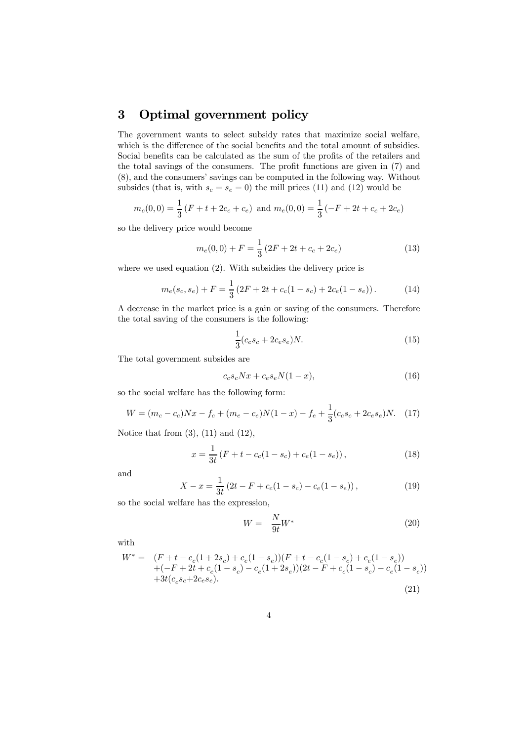## 3 Optimal government policy

The government wants to select subsidy rates that maximize social welfare, which is the difference of the social benefits and the total amount of subsidies. Social benefits can be calculated as the sum of the profits of the retailers and the total savings of the consumers. The profit functions are given in (7) and (8), and the consumers' savings can be computed in the following way. Without subsides (that is, with  $s_c = s_e = 0$ ) the mill prices (11) and (12) would be

$$
m_c(0,0) = \frac{1}{3}(F + t + 2c_c + c_e)
$$
 and  $m_e(0,0) = \frac{1}{3}(-F + 2t + c_c + 2c_e)$ 

so the delivery price would become

$$
m_e(0,0) + F = \frac{1}{3} \left( 2F + 2t + c_c + 2c_e \right)
$$
 (13)

where we used equation  $(2)$ . With subsidies the delivery price is

$$
m_e(s_c, s_e) + F = \frac{1}{3} \left( 2F + 2t + c_c(1 - s_c) + 2c_e(1 - s_e) \right). \tag{14}
$$

A decrease in the market price is a gain or saving of the consumers. Therefore the total saving of the consumers is the following:

$$
\frac{1}{3}(c_c s_c + 2c_e s_e)N.
$$
 (15)

The total government subsides are

$$
c_c s_c N x + c_e s_e N (1 - x), \tag{16}
$$

so the social welfare has the following form:

$$
W = (m_c - c_c)Nx - f_c + (m_e - c_e)N(1 - x) - f_e + \frac{1}{3}(c_c s_c + 2c_e s_e)N.
$$
 (17)

Notice that from  $(3)$ ,  $(11)$  and  $(12)$ ,

$$
x = \frac{1}{3t} (F + t - c_c(1 - s_c) + c_e(1 - s_e)),
$$
\n(18)

and

$$
X - x = \frac{1}{3t} \left( 2t - F + c_c (1 - s_c) - c_e (1 - s_e) \right),\tag{19}
$$

so the social welfare has the expression,

$$
W = \frac{N}{9t}W^* \tag{20}
$$

with

$$
W^* = (F + t - c_c(1 + 2s_c) + c_e(1 - s_e))(F + t - c_c(1 - s_c) + c_e(1 - s_e))
$$
  
 
$$
+ (-F + 2t + c_c(1 - s_c) - c_e(1 + 2s_e))(2t - F + c_c(1 - s_c) - c_e(1 - s_e))
$$
  
 
$$
+ 3t(c_c s_c + 2c_e s_e).
$$
 (21)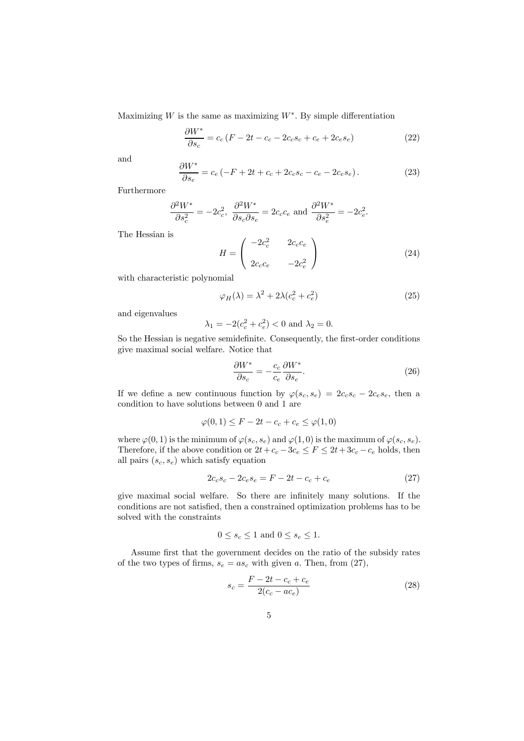Maximizing W is the same as maximizing  $W^*$ . By simple differentiation

$$
\frac{\partial W^*}{\partial s_c} = c_c (F - 2t - c_c - 2c_c s_c + c_e + 2c_e s_e)
$$
 (22)

and

$$
\frac{\partial W^*}{\partial s_e} = c_e \left( -F + 2t + c_c + 2c_c s_c - c_e - 2c_e s_e \right). \tag{23}
$$

Furthermore

$$
\frac{\partial^2 W^*}{\partial s_c^2} = -2c_c^2, \ \frac{\partial^2 W^*}{\partial s_c \partial s_e} = 2c_c c_e \text{ and } \frac{\partial^2 W^*}{\partial s_e^2} = -2c_e^2.
$$

The Hessian is

$$
H = \begin{pmatrix} -2c_c^2 & 2c_c c_e \\ 2c_c c_e & -2c_e^2 \end{pmatrix}
$$
 (24)

with characteristic polynomial

$$
\varphi_H(\lambda) = \lambda^2 + 2\lambda (c_c^2 + c_e^2)
$$
\n(25)

and eigenvalues

$$
\lambda_1 = -2(c_e^2 + c_e^2) < 0
$$
 and  $\lambda_2 = 0$ .

So the Hessian is negative semidefinite. Consequently, the first-order conditions give maximal social welfare. Notice that

$$
\frac{\partial W^*}{\partial s_c} = -\frac{c_c}{c_e} \frac{\partial W^*}{\partial s_e}.
$$
\n(26)

If we define a new continuous function by  $\varphi(s_c, s_e)=2c_c s_c - 2c_e s_e$ , then a condition to have solutions between 0 and 1 are

$$
\varphi(0,1) \le F - 2t - c_c + c_e \le \varphi(1,0)
$$

where  $\varphi(0,1)$  is the minimum of  $\varphi(s_c, s_e)$  and  $\varphi(1,0)$  is the maximum of  $\varphi(s_c, s_e)$ . Therefore, if the above condition or  $2t + c_c - 3c_e \leq F \leq 2t + 3c_c - c_e$  holds, then all pairs  $(s_c, s_e)$  which satisfy equation

$$
2c_c s_c - 2c_e s_e = F - 2t - c_c + c_e \tag{27}
$$

give maximal social welfare. So there are infinitely many solutions. If the conditions are not satisfied, then a constrained optimization problems has to be solved with the constraints

$$
0 \le s_c \le 1
$$
 and  $0 \le s_e \le 1$ .

Assume first that the government decides on the ratio of the subsidy rates of the two types of firms,  $s_e = as_c$  with given a. Then, from (27),

$$
s_c = \frac{F - 2t - c_c + c_e}{2(c_c - ac_e)}\tag{28}
$$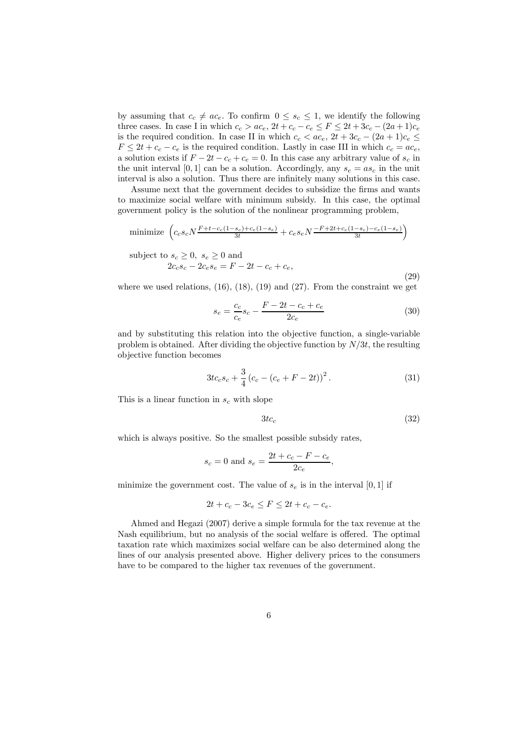by assuming that  $c_c \neq ac_e$ . To confirm  $0 \leq s_c \leq 1$ , we identify the following three cases. In case I in which  $c_c > ac_e$ ,  $2t + c_c - c_e \leq F \leq 2t + 3c_c - (2a + 1)c_e$ is the required condition. In case II in which  $c_c < ac_e$ ,  $2t + 3c_c - (2a + 1)c_e \le$  $F \leq 2t + c_c - c_e$  is the required condition. Lastly in case III in which  $c_c = ac_e$ , a solution exists if  $F - 2t - c_c + c_e = 0$ . In this case any arbitrary value of  $s_c$  in the unit interval [0, 1] can be a solution. Accordingly, any  $s_e = as_c$  in the unit interval is also a solution. Thus there are infinitely many solutions in this case.

Assume next that the government decides to subsidize the firms and wants to maximize social welfare with minimum subsidy. In this case, the optimal government policy is the solution of the nonlinear programming problem,

minimize 
$$
\left( c_c s_c N \frac{F + t - c_c (1 - s_c) + c_e (1 - s_e)}{3t} + c_e s_e N \frac{-F + 2t + c_c (1 - s_c) - c_e (1 - s_e)}{3t} \right)
$$

subject to  $s_c > 0$ ,  $s_e > 0$  and

$$
2c_c s_c - 2c_e s_e = F - 2t - c_c + c_e,
$$
\n(29)

where we used relations,  $(16)$ ,  $(18)$ ,  $(19)$  and  $(27)$ . From the constraint we get

$$
s_e = \frac{c_c}{c_e} s_c - \frac{F - 2t - c_c + c_e}{2c_e} \tag{30}
$$

and by substituting this relation into the objective function, a single-variable problem is obtained. After dividing the objective function by  $N/3t$ , the resulting objective function becomes

$$
3tc_c s_c + \frac{3}{4} (c_c - (c_e + F - 2t))^2.
$$
 (31)

This is a linear function in  $s_c$  with slope

$$
3tc_c \tag{32}
$$

which is always positive. So the smallest possible subsidy rates,

$$
s_c = 0
$$
 and  $s_e = \frac{2t + c_c - F - c_e}{2c_e}$ ,

minimize the government cost. The value of  $s_e$  is in the interval [0, 1] if

$$
2t + c_c - 3c_e \le F \le 2t + c_c - c_e.
$$

Ahmed and Hegazi (2007) derive a simple formula for the tax revenue at the Nash equilibrium, but no analysis of the social welfare is offered. The optimal taxation rate which maximizes social welfare can be also determined along the lines of our analysis presented above. Higher delivery prices to the consumers have to be compared to the higher tax revenues of the government.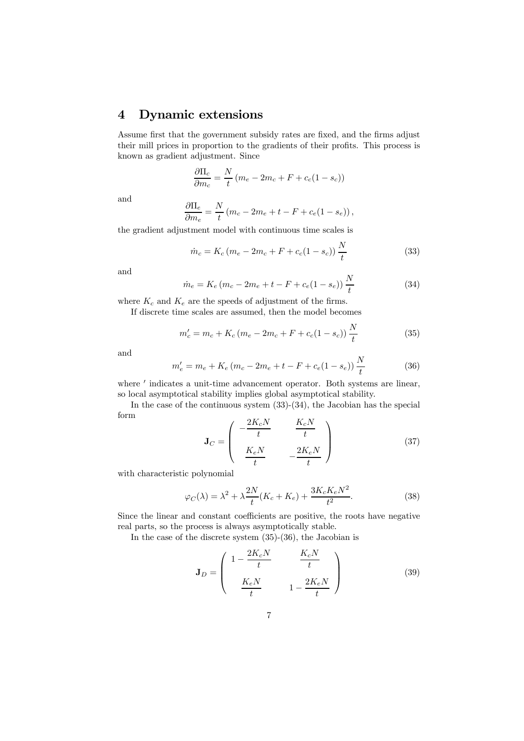# 4 Dynamic extensions

Assume first that the government subsidy rates are fixed, and the firms adjust their mill prices in proportion to the gradients of their profits. This process is known as gradient adjustment. Since

$$
\frac{\partial \Pi_c}{\partial m_c} = \frac{N}{t} \left( m_e - 2m_c + F + c_c (1 - s_c) \right)
$$

and

$$
\frac{\partial \Pi_e}{\partial m_e} = \frac{N}{t} (m_c - 2m_e + t - F + c_e (1 - s_e)),
$$

the gradient adjustment model with continuous time scales is

$$
\dot{m}_c = K_c (m_e - 2m_c + F + c_c (1 - s_c)) \frac{N}{t}
$$
\n(33)

and

$$
\dot{m}_e = K_e (m_c - 2m_e + t - F + c_e (1 - s_e)) \frac{N}{t}
$$
\n(34)

where  $K_c$  and  $K_e$  are the speeds of adjustment of the firms.

If discrete time scales are assumed, then the model becomes

$$
m'_{c} = m_{c} + K_{c} (m_{e} - 2m_{c} + F + c_{c} (1 - s_{c})) \frac{N}{t}
$$
\n(35)

and

$$
m'_e = m_e + K_e (m_c - 2m_e + t - F + c_e (1 - s_e)) \frac{N}{t}
$$
 (36)

where  $'$  indicates a unit-time advancement operator. Both systems are linear, so local asymptotical stability implies global asymptotical stability.

In the case of the continuous system (33)-(34), the Jacobian has the special form  $2K^2$  $V$  N

$$
\mathbf{J}_C = \begin{pmatrix} -\frac{2K_cN}{t} & \frac{K_cN}{t} \\ \frac{K_eN}{t} & -\frac{2K_eN}{t} \end{pmatrix}
$$
(37)

with characteristic polynomial

$$
\varphi_C(\lambda) = \lambda^2 + \lambda \frac{2N}{t} (K_c + K_e) + \frac{3K_c K_e N^2}{t^2}.
$$
\n(38)

Since the linear and constant coefficients are positive, the roots have negative real parts, so the process is always asymptotically stable.

In the case of the discrete system (35)-(36), the Jacobian is

$$
\mathbf{J}_D = \begin{pmatrix} 1 - \frac{2K_cN}{t} & \frac{K_cN}{t} \\ \frac{K_cN}{t} & 1 - \frac{2K_cN}{t} \end{pmatrix}
$$
 (39)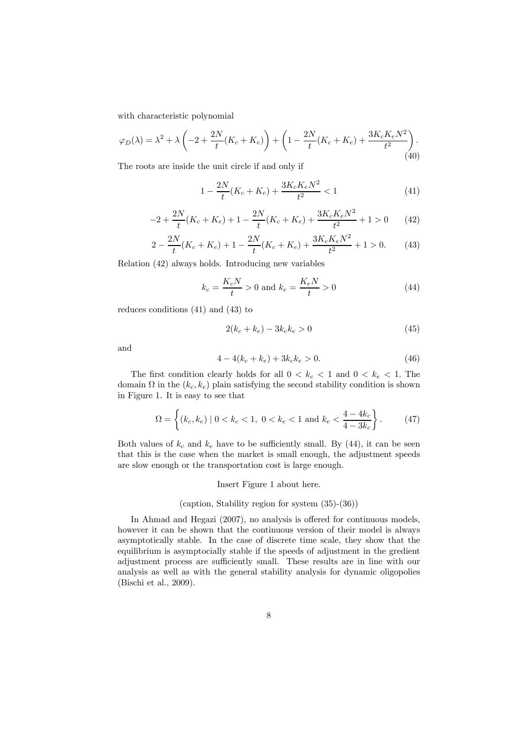with characteristic polynomial

$$
\varphi_D(\lambda) = \lambda^2 + \lambda \left( -2 + \frac{2N}{t} (K_c + K_e) \right) + \left( 1 - \frac{2N}{t} (K_c + K_e) + \frac{3K_c K_e N^2}{t^2} \right). \tag{40}
$$

The roots are inside the unit circle if and only if

$$
1 - \frac{2N}{t}(K_c + K_e) + \frac{3K_cK_eN^2}{t^2} < 1\tag{41}
$$

$$
-2 + \frac{2N}{t}(K_c + K_e) + 1 - \frac{2N}{t}(K_c + K_e) + \frac{3K_cK_eN^2}{t^2} + 1 > 0 \tag{42}
$$

$$
2 - \frac{2N}{t}(K_c + K_e) + 1 - \frac{2N}{t}(K_c + K_e) + \frac{3K_cK_eN^2}{t^2} + 1 > 0.
$$
 (43)

Relation (42) always holds. Introducing new variables

$$
k_c = \frac{K_c N}{t} > 0
$$
 and  $k_e = \frac{K_e N}{t} > 0$  (44)

reduces conditions (41) and (43) to

$$
2(k_c + k_e) - 3k_c k_e > 0
$$
\n(45)

and

$$
4 - 4(k_c + k_e) + 3k_c k_e > 0.
$$
\n(46)

The first condition clearly holds for all  $0 < k_c < 1$  and  $0 < k_e < 1$ . The domain  $\Omega$  in the  $(k_c, k_e)$  plain satisfying the second stability condition is shown in Figure 1. It is easy to see that

$$
\Omega = \left\{ (k_c, k_e) \mid 0 < k_c < 1, \ 0 < k_e < 1 \text{ and } k_e < \frac{4 - 4k_c}{4 - 3k_c} \right\}.
$$
\n(47)

Both values of  $k_c$  and  $k_e$  have to be sufficiently small. By (44), it can be seen that this is the case when the market is small enough, the adjustment speeds are slow enough or the transportation cost is large enough.

#### Insert Figure 1 about here.

#### (caption, Stability region for system (35)-(36))

In Ahmad and Hegazi (2007), no analysis is offered for continuous models, however it can be shown that the continuous version of their model is always asymptotically stable. In the case of discrete time scale, they show that the equilibrium is asymptocially stable if the speeds of adjustment in the gredient adjustment process are sufficiently small. These results are in line with our analysis as well as with the general stability analysis for dynamic oligopolies (Bischi et al., 2009).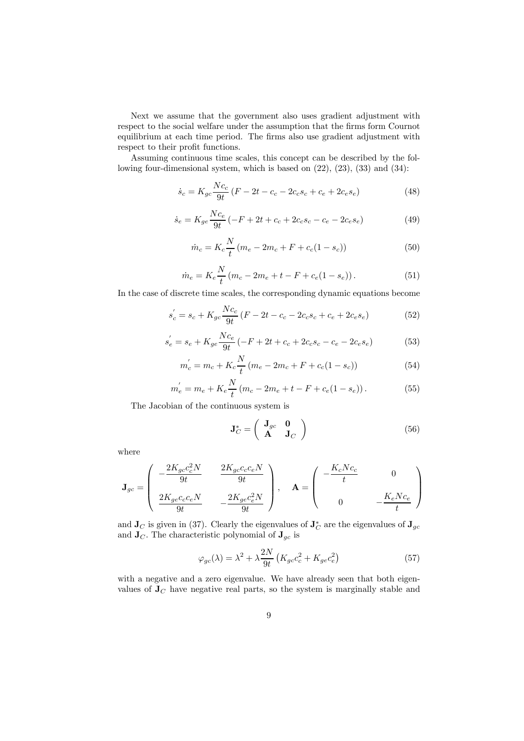Next we assume that the government also uses gradient adjustment with respect to the social welfare under the assumption that the firms form Cournot equilibrium at each time period. The firms also use gradient adjustment with respect to their profit functions.

Assuming continuous time scales, this concept can be described by the following four-dimensional system, which is based on (22), (23), (33) and (34):

$$
\dot{s}_c = K_{gc} \frac{Nc_c}{9t} (F - 2t - c_c - 2c_c s_c + c_e + 2c_e s_e)
$$
\n(48)

$$
\dot{s}_e = K_{ge} \frac{Nc_e}{9t} \left( -F + 2t + c_c + 2c_c s_c - c_e - 2c_e s_e \right)
$$
(49)

$$
\dot{m}_c = K_c \frac{N}{t} (m_e - 2m_c + F + c_c (1 - s_c))
$$
\n(50)

$$
\dot{m}_e = K_e \frac{N}{t} (m_c - 2m_e + t - F + c_e (1 - s_e)). \tag{51}
$$

In the case of discrete time scales, the corresponding dynamic equations become

$$
s_c' = s_c + K_{gc} \frac{Nc_c}{9t} (F - 2t - c_c - 2c_c s_c + c_e + 2c_e s_e)
$$
 (52)

$$
s_e' = s_e + K_{ge} \frac{Nc_e}{9t} \left( -F + 2t + c_c + 2c_c s_c - c_e - 2c_e s_e \right)
$$
(53)

$$
m_c' = m_c + K_c \frac{N}{t} (m_e - 2m_c + F + c_c(1 - s_c))
$$
\n(54)

$$
m_e^{'} = m_e + K_e \frac{N}{t} (m_c - 2m_e + t - F + c_e (1 - s_e)).
$$
 (55)

The Jacobian of the continuous system is

$$
\mathbf{J}_C^* = \left(\begin{array}{cc} \mathbf{J}_{gc} & \mathbf{0} \\ \mathbf{A} & \mathbf{J}_C \end{array}\right) \tag{56}
$$

where

$$
\mathbf{J}_{gc} = \begin{pmatrix} -\frac{2K_{gc}c_c^2N}{9t} & \frac{2K_{gc}c_cc_eN}{9t} \\ \frac{2K_{ge}c_cc_eN}{9t} & -\frac{2K_{ge}c_e^2N}{9t} \end{pmatrix}, \quad \mathbf{A} = \begin{pmatrix} -\frac{K_cNc_c}{t} & 0 \\ 0 & -\frac{K_eNc_e}{t} \end{pmatrix}
$$

and  $J_C$  is given in (37). Clearly the eigenvalues of  $J_C^*$  are the eigenvalues of  $J_{gc}$ and  $J_C$ . The characteristic polynomial of  $J_{gc}$  is

$$
\varphi_{gc}(\lambda) = \lambda^2 + \lambda \frac{2N}{9t} \left( K_{gc} c_c^2 + K_{ge} c_e^2 \right) \tag{57}
$$

with a negative and a zero eigenvalue. We have already seen that both eigenvalues of  $J_C$  have negative real parts, so the system is marginally stable and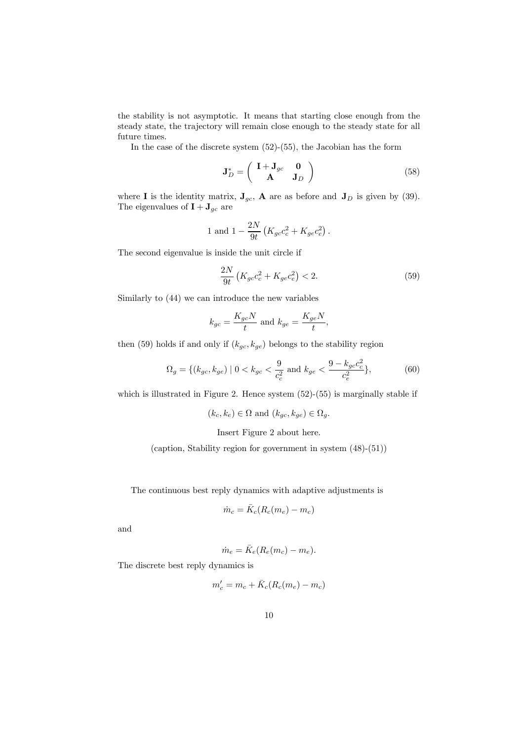the stability is not asymptotic. It means that starting close enough from the steady state, the trajectory will remain close enough to the steady state for all future times.

In the case of the discrete system (52)-(55), the Jacobian has the form

$$
\mathbf{J}_D^* = \begin{pmatrix} \mathbf{I} + \mathbf{J}_{gc} & \mathbf{0} \\ \mathbf{A} & \mathbf{J}_D \end{pmatrix} \tag{58}
$$

where **I** is the identity matrix,  $J_{gc}$ , **A** are as before and  $J_D$  is given by (39). The eigenvalues of  $\mathbf{I} + \mathbf{J}_{gc}$  are

1 and 
$$
1 - \frac{2N}{9t} (K_{gc}c_c^2 + K_{ge}c_e^2)
$$
.

The second eigenvalue is inside the unit circle if

$$
\frac{2N}{9t}\left(K_{gc}c_c^2 + K_{ge}c_e^2\right) < 2.\tag{59}
$$

Similarly to (44) we can introduce the new variables

$$
k_{gc} = \frac{K_{gc}N}{t}
$$
 and 
$$
k_{ge} = \frac{K_{ge}N}{t},
$$

then (59) holds if and only if  $(k_{gc}, k_{ge})$  belongs to the stability region

$$
\Omega_g = \{ (k_{gc}, k_{ge}) \mid 0 < k_{gc} < \frac{9}{c_c^2} \text{ and } k_{ge} < \frac{9 - k_{gc}c_c^2}{c_e^2} \},\tag{60}
$$

which is illustrated in Figure 2. Hence system  $(52)-(55)$  is marginally stable if

 $(k_c, k_e) \in \Omega$  and  $(k_{ac}, k_{ge}) \in \Omega_a$ .

Insert Figure 2 about here.

(caption, Stability region for government in system (48)-(51))

The continuous best reply dynamics with adaptive adjustments is

$$
\dot{m}_c = \bar{K}_c (R_c(m_e) - m_c)
$$

and

$$
\dot{m}_e = \bar{K}_e (R_e (m_c) - m_e).
$$

The discrete best reply dynamics is

$$
m'_c = m_c + \bar{K}_c(R_c(m_e) - m_c)
$$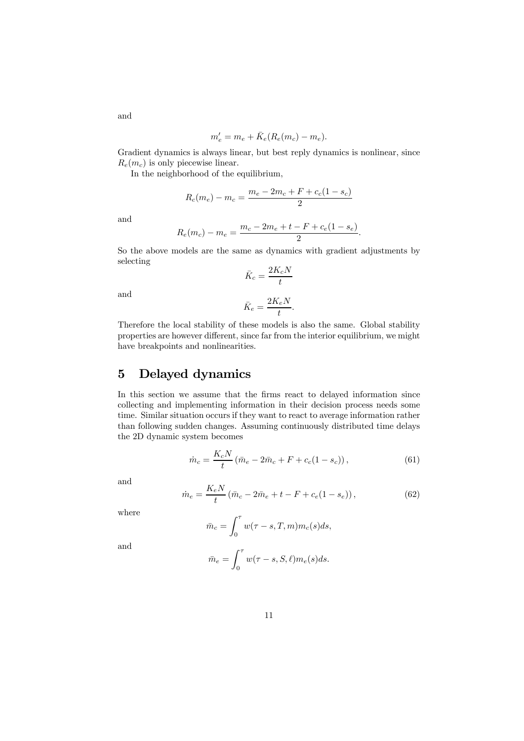$$
m'_e = m_e + \bar{K}_e(R_e(m_c) - m_e).
$$

Gradient dynamics is always linear, but best reply dynamics is nonlinear, since  $R_e(m_c)$  is only piecewise linear.

In the neighborhood of the equilibrium,

$$
R_c(m_e) - m_c = \frac{m_e - 2m_c + F + c_c(1 - s_c)}{2}
$$

and

$$
R_e(m_c) - m_e = \frac{m_c - 2m_e + t - F + c_e(1 - s_e)}{2}.
$$

So the above models are the same as dynamics with gradient adjustments by selecting

$$
\bar{K}_c = \frac{2K_cN}{t}
$$

and

$$
\bar{K}_e = \frac{2K_e N}{t}.
$$

Therefore the local stability of these models is also the same. Global stability properties are however different, since far from the interior equilibrium, we might have breakpoints and nonlinearities.

### 5 Delayed dynamics

In this section we assume that the firms react to delayed information since collecting and implementing information in their decision process needs some time. Similar situation occurs if they want to react to average information rather than following sudden changes. Assuming continuously distributed time delays the 2D dynamic system becomes

$$
\dot{m}_c = \frac{K_c N}{t} (\bar{m}_e - 2\bar{m}_c + F + c_c (1 - s_c)),
$$
\n(61)

and

$$
\dot{m}_e = \frac{K_e N}{t} (\bar{m}_c - 2\bar{m}_e + t - F + c_e (1 - s_e)),
$$
\n(62)

where

$$
\bar{m}_c = \int_0^\tau w(\tau - s, T, m) m_c(s) ds,
$$

and

$$
\bar{m}_e = \int_0^\tau w(\tau - s, S, \ell) m_e(s) ds.
$$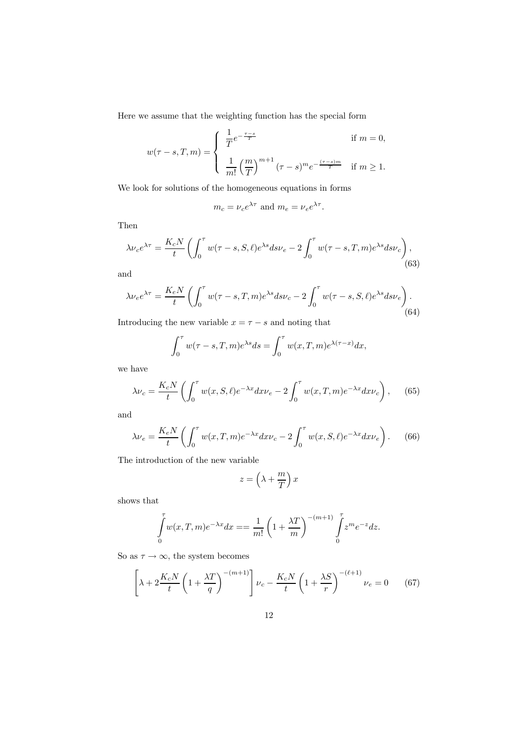Here we assume that the weighting function has the special form

$$
w(\tau - s, T, m) = \begin{cases} \frac{1}{T} e^{-\frac{\tau - s}{T}} & \text{if } m = 0, \\ \frac{1}{m!} \left(\frac{m}{T}\right)^{m+1} (\tau - s)^m e^{-\frac{(\tau - s)m}{T}} & \text{if } m \ge 1. \end{cases}
$$

We look for solutions of the homogeneous equations in forms

$$
m_c = \nu_c e^{\lambda \tau}
$$
 and  $m_e = \nu_e e^{\lambda \tau}$ .

Then

$$
\lambda \nu_c e^{\lambda \tau} = \frac{K_c N}{t} \left( \int_0^{\tau} w(\tau - s, S, \ell) e^{\lambda s} ds \nu_e - 2 \int_0^{\tau} w(\tau - s, T, m) e^{\lambda s} ds \nu_c \right), \tag{63}
$$

and

$$
\lambda \nu_e e^{\lambda \tau} = \frac{K_e N}{t} \left( \int_0^{\tau} w(\tau - s, T, m) e^{\lambda s} ds \nu_c - 2 \int_0^{\tau} w(\tau - s, S, \ell) e^{\lambda s} ds \nu_e \right). \tag{64}
$$

Introducing the new variable  $x = \tau - s$  and noting that

$$
\int_0^\tau w(\tau - s, T, m) e^{\lambda s} ds = \int_0^\tau w(x, T, m) e^{\lambda(\tau - x)} dx,
$$

we have

$$
\lambda \nu_c = \frac{K_c N}{t} \left( \int_0^\tau w(x, S, \ell) e^{-\lambda x} dx \nu_e - 2 \int_0^\tau w(x, T, m) e^{-\lambda x} dx \nu_c \right), \quad (65)
$$

and

$$
\lambda \nu_e = \frac{K_e N}{t} \left( \int_0^\tau w(x, T, m) e^{-\lambda x} dx \nu_c - 2 \int_0^\tau w(x, S, \ell) e^{-\lambda x} dx \nu_e \right). \tag{66}
$$

The introduction of the new variable

$$
z = \left(\lambda + \frac{m}{T}\right)x
$$

shows that

$$
\int_{0}^{\tau} w(x, T, m) e^{-\lambda x} dx = \frac{1}{m!} \left( 1 + \frac{\lambda T}{m} \right)^{-(m+1)} \int_{0}^{\tau} z^{m} e^{-z} dz.
$$

So as  $\tau \to \infty$ , the system becomes

$$
\left[\lambda + 2\frac{K_c N}{t} \left(1 + \frac{\lambda T}{q}\right)^{-(m+1)}\right] \nu_c - \frac{K_c N}{t} \left(1 + \frac{\lambda S}{r}\right)^{-(\ell+1)} \nu_e = 0 \tag{67}
$$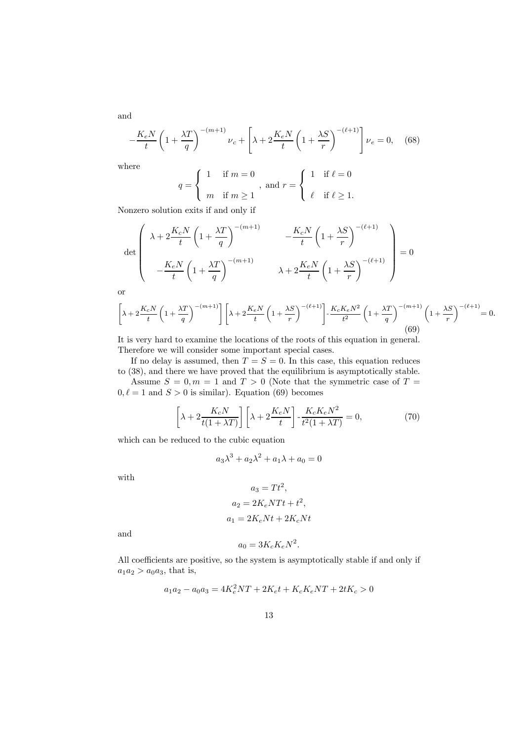$-\frac{K_e N}{t}$  $\left(1+\frac{\lambda T}{q}\right)$  $\bigwedge^{-(m+1)}$  $v_c +$  $\sqrt{ }$  $\lambda + 2 \frac{K_e N}{4}$ t  $\left(1+\frac{\lambda S}{r}\right)$  $\big\{ \frac{-(\ell+1)}{2} \big\}$  $v_e = 0,$  (68)

where

$$
q = \begin{cases} 1 & \text{if } m = 0 \\ m & \text{if } m \ge 1 \end{cases}
$$
, and  $r = \begin{cases} 1 & \text{if } \ell = 0 \\ \ell & \text{if } \ell \ge 1. \end{cases}$ 

Nonzero solution exits if and only if

$$
\det \left( \begin{array}{cc} \lambda + 2\frac{K_c N}{t} \left( 1 + \frac{\lambda T}{q} \right)^{-(m+1)} & -\frac{K_c N}{t} \left( 1 + \frac{\lambda S}{r} \right)^{-(\ell+1)} \\ -\frac{K_e N}{t} \left( 1 + \frac{\lambda T}{q} \right)^{-(m+1)} & \lambda + 2\frac{K_e N}{t} \left( 1 + \frac{\lambda S}{r} \right)^{-(\ell+1)} \end{array} \right) = 0
$$

or

$$
\left[\lambda + 2\frac{K_c N}{t}\left(1 + \frac{\lambda T}{q}\right)^{-(m+1)}\right] \left[\lambda + 2\frac{K_c N}{t}\left(1 + \frac{\lambda S}{r}\right)^{-(\ell+1)}\right] - \frac{K_c K_c N^2}{t^2} \left(1 + \frac{\lambda T}{q}\right)^{-(m+1)} \left(1 + \frac{\lambda S}{r}\right)^{-(\ell+1)} = 0. \tag{69}
$$

It is very hard to examine the locations of the roots of this equation in general. Therefore we will consider some important special cases.

If no delay is assumed, then  $T = S = 0$ . In this case, this equation reduces to (38), and there we have proved that the equilibrium is asymptotically stable.

Assume  $S = 0, m = 1$  and  $T > 0$  (Note that the symmetric case of  $T =$  $0, \ell = 1$  and  $S > 0$  is similar). Equation (69) becomes

$$
\left[\lambda + 2\frac{K_c N}{t(1+\lambda T)}\right] \left[\lambda + 2\frac{K_e N}{t}\right] \cdot \frac{K_c K_e N^2}{t^2(1+\lambda T)} = 0,\tag{70}
$$

which can be reduced to the cubic equation

$$
a_3\lambda^3 + a_2\lambda^2 + a_1\lambda + a_0 = 0
$$

with

$$
a_3 = 1 t ,
$$
  
\n
$$
a_2 = 2K_eNTt + t^2,
$$
  
\n
$$
a_1 = 2K_eNt + 2K_cNt
$$

 $T<sub>12</sub>$ 

and

$$
a_0 = 3K_cK_eN^2.
$$

All coefficients are positive, so the system is asymptotically stable if and only if  $a_1a_2 > a_0a_3$ , that is,

$$
a_1 a_2 - a_0 a_3 = 4K_e^2 NT + 2K_e t + K_c K_e NT + 2tK_c > 0
$$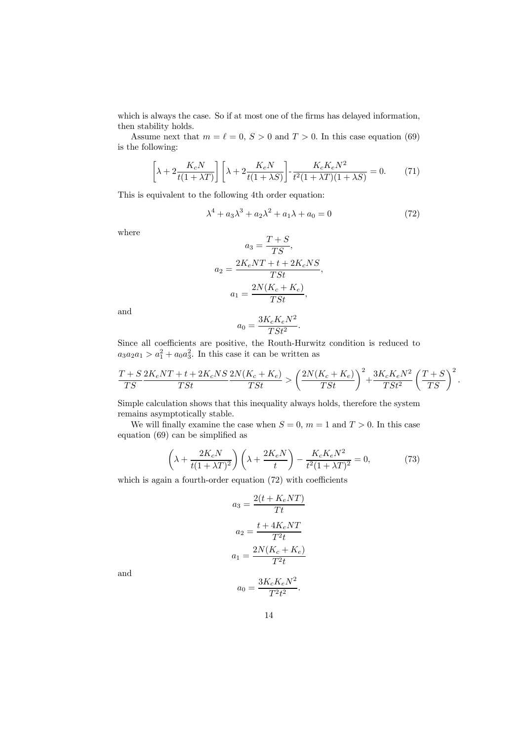which is always the case. So if at most one of the firms has delayed information, then stability holds.

Assume next that  $m = \ell = 0, S > 0$  and  $T > 0$ . In this case equation (69) is the following:

$$
\left[\lambda + 2\frac{K_c N}{t(1+\lambda T)}\right] \left[\lambda + 2\frac{K_e N}{t(1+\lambda S)}\right] \cdot \frac{K_c K_e N^2}{t^2(1+\lambda T)(1+\lambda S)} = 0. \tag{71}
$$

This is equivalent to the following 4th order equation:

$$
\lambda^4 + a_3 \lambda^3 + a_2 \lambda^2 + a_1 \lambda + a_0 = 0 \tag{72}
$$

where

$$
a_3 = \frac{T+S}{TS},
$$
  
\n
$$
a_2 = \frac{2K_eNT + t + 2K_cNS}{TSt},
$$
  
\n
$$
a_1 = \frac{2N(K_c + K_e)}{TSt},
$$

and

$$
a_0 = \frac{3K_cK_eN^2}{TSt^2}.
$$

Since all coefficients are positive, the Routh-Hurwitz condition is reduced to  $a_3a_2a_1 > a_1^2 + a_0a_3^2$ . In this case it can be written as

$$
\frac{T+S}{TS}\frac{2K_eNT+t+2K_cNS}{TSt}\frac{2N(K_c+K_e)}{TSt}>\left(\frac{2N(K_c+K_e)}{TSt}\right)^2+\frac{3K_cK_eN^2}{TSt^2}\left(\frac{T+S}{TS}\right)^2.
$$

Simple calculation shows that this inequality always holds, therefore the system remains asymptotically stable.

We will finally examine the case when  $S = 0$ ,  $m = 1$  and  $T > 0$ . In this case equation (69) can be simplified as

$$
\left(\lambda + \frac{2K_cN}{t(1+\lambda T)^2}\right)\left(\lambda + \frac{2K_eN}{t}\right) - \frac{K_cK_eN^2}{t^2(1+\lambda T)^2} = 0,\tag{73}
$$

which is again a fourth-order equation  $(72)$  with coefficients

$$
a_3 = \frac{2(t + K_e NT)}{Tt}
$$

$$
a_2 = \frac{t + 4K_e NT}{T^2t}
$$

$$
a_1 = \frac{2N(K_c + K_e)}{T^2t}
$$

$$
a_0 = \frac{3K_cK_eN^2}{T^2t^2}.
$$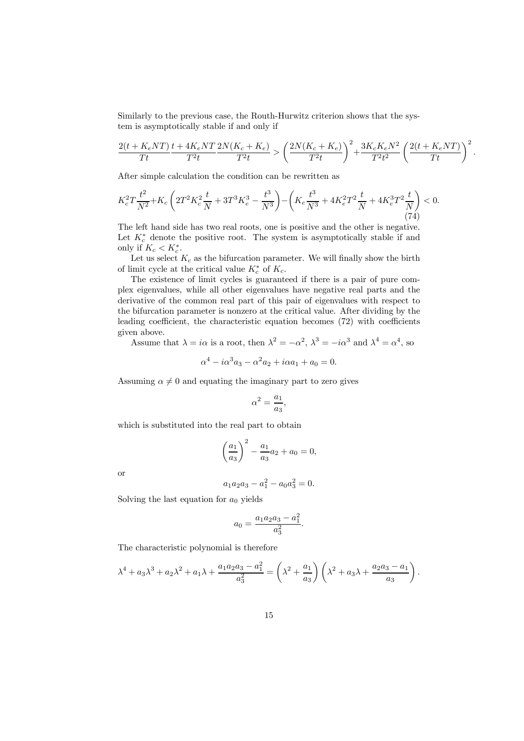Similarly to the previous case, the Routh-Hurwitz criterion shows that the system is asymptotically stable if and only if

$$
\frac{2(t+K_eNT)}{Tt}\frac{t+4K_eNT}{T^2t}\frac{2N(K_c+K_e)}{T^2t} > \left(\frac{2N(K_c+K_e)}{T^2t}\right)^2 + \frac{3K_cK_eN^2}{T^2t^2}\left(\frac{2(t+K_eNT)}{Tt}\right)^2.
$$

After simple calculation the condition can be rewritten as

$$
K_c^2 T \frac{t^2}{N^2} + K_c \left( 2T^2 K_c^2 \frac{t}{N} + 3T^3 K_e^3 - \frac{t^3}{N^3} \right) - \left( K_e \frac{t^3}{N^3} + 4K_e^2 T^2 \frac{t}{N} + 4K_e^3 T^2 \frac{t}{N} \right) < 0. \tag{74}
$$

The left hand side has two real roots, one is positive and the other is negative. Let  $K_c^*$  denote the positive root. The system is asymptotically stable if and only if  $K_c < K_c^*$ .

Let us select  $K_c$  as the bifurcation parameter. We will finally show the birth of limit cycle at the critical value  $K_c^*$  of  $K_c$ .

The existence of limit cycles is guaranteed if there is a pair of pure complex eigenvalues, while all other eigenvalues have negative real parts and the derivative of the common real part of this pair of eigenvalues with respect to the bifurcation parameter is nonzero at the critical value. After dividing by the leading coefficient, the characteristic equation becomes (72) with coefficients given above.

Assume that  $\lambda = i\alpha$  is a root, then  $\lambda^2 = -\alpha^2$ ,  $\lambda^3 = -i\alpha^3$  and  $\lambda^4 = \alpha^4$ , so

$$
\alpha^4 - i\alpha^3 a_3 - \alpha^2 a_2 + i\alpha a_1 + a_0 = 0.
$$

Assuming  $\alpha \neq 0$  and equating the imaginary part to zero gives

$$
\alpha^2 = \frac{a_1}{a_3},
$$

which is substituted into the real part to obtain

$$
\left(\frac{a_1}{a_3}\right)^2 - \frac{a_1}{a_3}a_2 + a_0 = 0,
$$

or

$$
a_1 a_2 a_3 - a_1^2 - a_0 a_3^2 = 0.
$$

Solving the last equation for  $a_0$  yields

$$
a_0 = \frac{a_1 a_2 a_3 - a_1^2}{a_3^2}.
$$

The characteristic polynomial is therefore

$$
\lambda^4 + a_3 \lambda^3 + a_2 \lambda^2 + a_1 \lambda + \frac{a_1 a_2 a_3 - a_1^2}{a_3^2} = \left(\lambda^2 + \frac{a_1}{a_3}\right) \left(\lambda^2 + a_3 \lambda + \frac{a_2 a_3 - a_1}{a_3}\right).
$$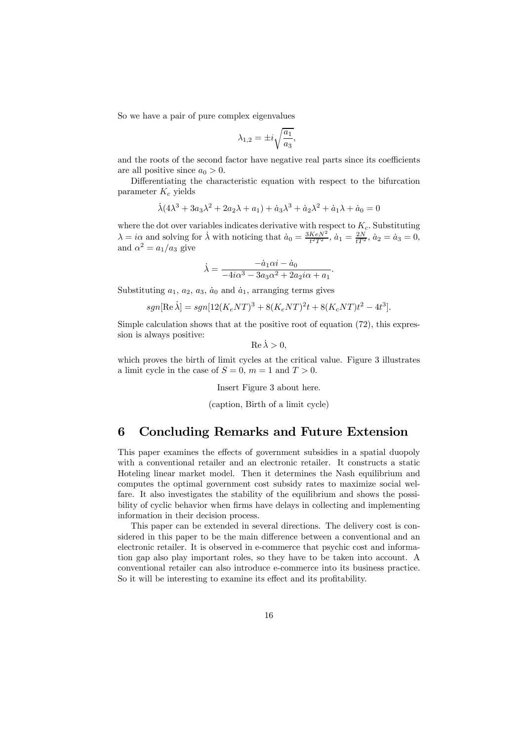So we have a pair of pure complex eigenvalues

$$
\lambda_{1,2}=\pm i\sqrt{\frac{a_1}{a_3}},
$$

and the roots of the second factor have negative real parts since its coefficients are all positive since  $a_0 > 0$ .

Differentiating the characteristic equation with respect to the bifurcation parameter  $K_c$  yields

$$
\dot{\lambda}(4\lambda^3 + 3a_3\lambda^2 + 2a_2\lambda + a_1) + \dot{a}_3\lambda^3 + \dot{a}_2\lambda^2 + \dot{a}_1\lambda + \dot{a}_0 = 0
$$

where the dot over variables indicates derivative with respect to  $K_c$ . Substituting  $\lambda = i\alpha$  and solving for  $\dot{\lambda}$  with noticing that  $\dot{a}_0 = \frac{3KeN^2}{t^2T^2}$ ,  $\dot{a}_1 = \frac{2N}{tT^2}$ ,  $\dot{a}_2 = \dot{a}_3 = 0$ , and  $\alpha^2 = a_1/a_3$  give

$$
\dot{\lambda} = \frac{-\dot{a}_1 \alpha i - \dot{a}_0}{-4i\alpha^3 - 3a_3\alpha^2 + 2a_2 i\alpha + a_1}.
$$

Substituting  $a_1, a_2, a_3, a_0$  and  $a_1$ , arranging terms gives

$$
sgn[\text{Re }\dot{\lambda}] = sgn[12(K_eNT)^3 + 8(K_eNT)^2t + 8(K_cNT)t^2 - 4t^3].
$$

Simple calculation shows that at the positive root of equation (72), this expression is always positive:

$$
\operatorname{Re}\dot{\lambda}>0,
$$

which proves the birth of limit cycles at the critical value. Figure 3 illustrates a limit cycle in the case of  $S = 0$ ,  $m = 1$  and  $T > 0$ .

Insert Figure 3 about here.

(caption, Birth of a limit cycle)

### 6 Concluding Remarks and Future Extension

This paper examines the effects of government subsidies in a spatial duopoly with a conventional retailer and an electronic retailer. It constructs a static Hoteling linear market model. Then it determines the Nash equilibrium and computes the optimal government cost subsidy rates to maximize social welfare. It also investigates the stability of the equilibrium and shows the possibility of cyclic behavior when firms have delays in collecting and implementing information in their decision process.

This paper can be extended in several directions. The delivery cost is considered in this paper to be the main difference between a conventional and an electronic retailer. It is observed in e-commerce that psychic cost and information gap also play important roles, so they have to be taken into account. A conventional retailer can also introduce e-commerce into its business practice. So it will be interesting to examine its effect and its profitability.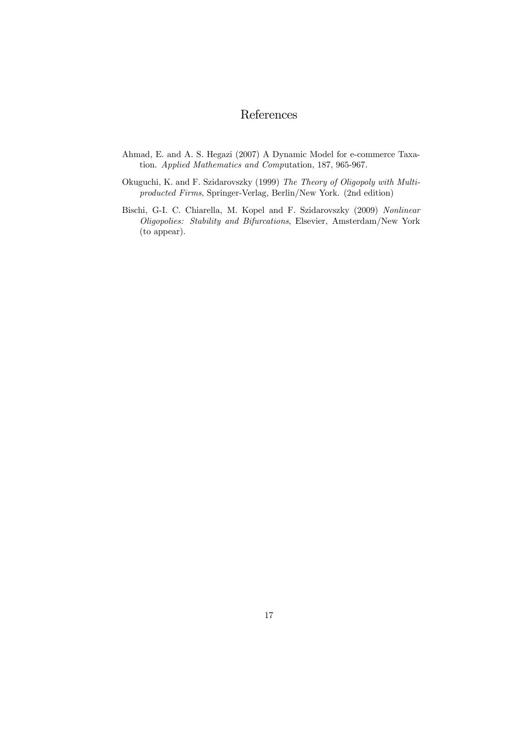# References

- Ahmad, E. and A. S. Hegazi (2007) A Dynamic Model for e-commerce Taxation. Applied Mathematics and Computation, 187, 965-967.
- Okuguchi, K. and F. Szidarovszky (1999) The Theory of Oligopoly with Multiproducted Firms, Springer-Verlag, Berlin/New York. (2nd edition)
- Bischi, G-I. C. Chiarella, M. Kopel and F. Szidarovszky (2009) Nonlinear Oligopolies: Stability and Bifurcations, Elsevier, Amsterdam/New York (to appear).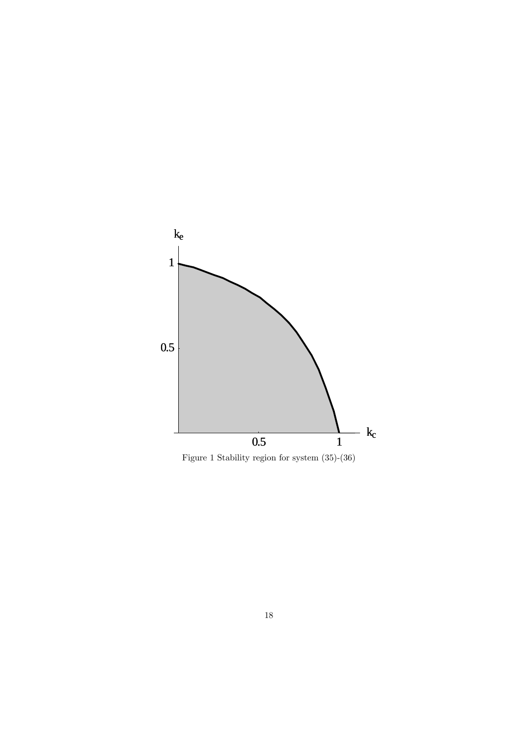

Figure 1 Stability region for system  $(35)-(36)$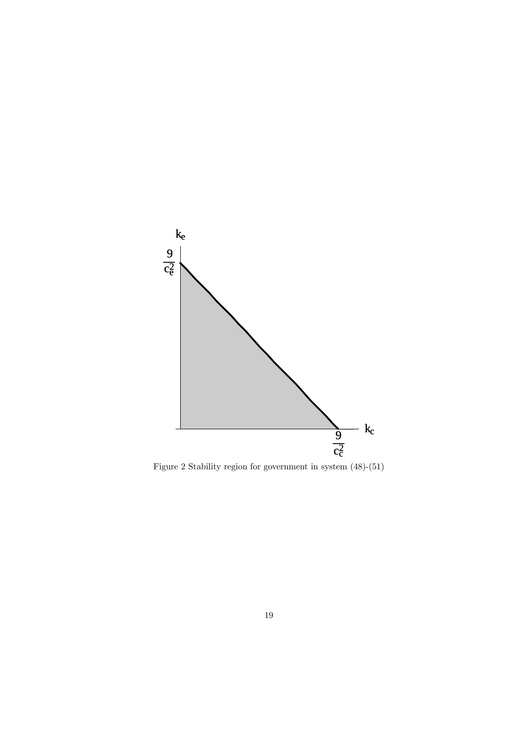

Figure 2 Stability region for government in system  $(48)$ - $(51)$